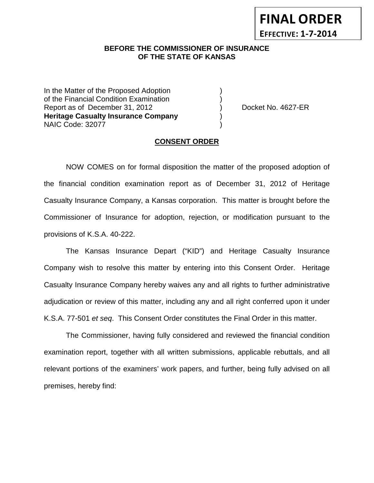# **BEFORE THE COMMISSIONER OF INSURANCE OF THE STATE OF KANSAS**

In the Matter of the Proposed Adoption of the Financial Condition Examination ) Report as of December 31, 2012 (and Separation Cooket No. 4627-ER **Heritage Casualty Insurance Company** ) NAIC Code: 32077 )

**FINAL ORDER**

**EFFECTIVE: 1-7-2014**

#### **CONSENT ORDER**

NOW COMES on for formal disposition the matter of the proposed adoption of the financial condition examination report as of December 31, 2012 of Heritage Casualty Insurance Company, a Kansas corporation. This matter is brought before the Commissioner of Insurance for adoption, rejection, or modification pursuant to the provisions of K.S.A. 40-222.

The Kansas Insurance Depart ("KID") and Heritage Casualty Insurance Company wish to resolve this matter by entering into this Consent Order. Heritage Casualty Insurance Company hereby waives any and all rights to further administrative adjudication or review of this matter, including any and all right conferred upon it under K.S.A. 77-501 *et seq*. This Consent Order constitutes the Final Order in this matter.

The Commissioner, having fully considered and reviewed the financial condition examination report, together with all written submissions, applicable rebuttals, and all relevant portions of the examiners' work papers, and further, being fully advised on all premises, hereby find: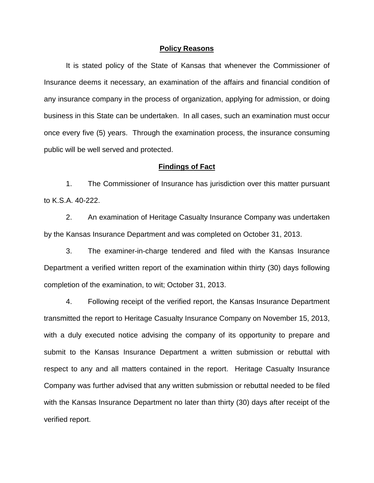#### **Policy Reasons**

It is stated policy of the State of Kansas that whenever the Commissioner of Insurance deems it necessary, an examination of the affairs and financial condition of any insurance company in the process of organization, applying for admission, or doing business in this State can be undertaken. In all cases, such an examination must occur once every five (5) years. Through the examination process, the insurance consuming public will be well served and protected.

#### **Findings of Fact**

1. The Commissioner of Insurance has jurisdiction over this matter pursuant to K.S.A. 40-222.

2. An examination of Heritage Casualty Insurance Company was undertaken by the Kansas Insurance Department and was completed on October 31, 2013.

3. The examiner-in-charge tendered and filed with the Kansas Insurance Department a verified written report of the examination within thirty (30) days following completion of the examination, to wit; October 31, 2013.

4. Following receipt of the verified report, the Kansas Insurance Department transmitted the report to Heritage Casualty Insurance Company on November 15, 2013, with a duly executed notice advising the company of its opportunity to prepare and submit to the Kansas Insurance Department a written submission or rebuttal with respect to any and all matters contained in the report. Heritage Casualty Insurance Company was further advised that any written submission or rebuttal needed to be filed with the Kansas Insurance Department no later than thirty (30) days after receipt of the verified report.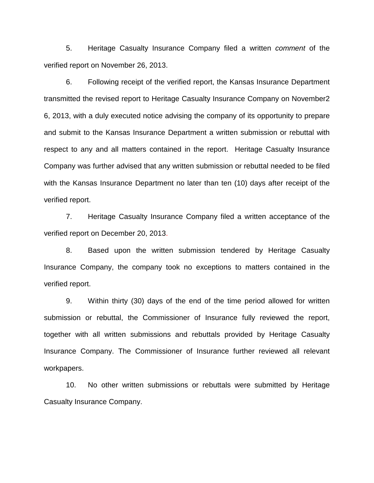5. Heritage Casualty Insurance Company filed a written *comment* of the verified report on November 26, 2013.

6. Following receipt of the verified report, the Kansas Insurance Department transmitted the revised report to Heritage Casualty Insurance Company on November2 6, 2013, with a duly executed notice advising the company of its opportunity to prepare and submit to the Kansas Insurance Department a written submission or rebuttal with respect to any and all matters contained in the report. Heritage Casualty Insurance Company was further advised that any written submission or rebuttal needed to be filed with the Kansas Insurance Department no later than ten (10) days after receipt of the verified report.

7. Heritage Casualty Insurance Company filed a written acceptance of the verified report on December 20, 2013.

8. Based upon the written submission tendered by Heritage Casualty Insurance Company, the company took no exceptions to matters contained in the verified report.

9. Within thirty (30) days of the end of the time period allowed for written submission or rebuttal, the Commissioner of Insurance fully reviewed the report, together with all written submissions and rebuttals provided by Heritage Casualty Insurance Company. The Commissioner of Insurance further reviewed all relevant workpapers.

10. No other written submissions or rebuttals were submitted by Heritage Casualty Insurance Company.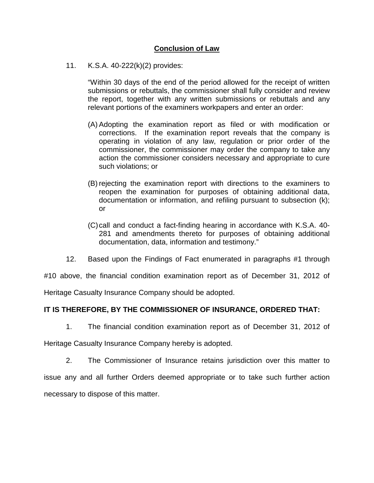# **Conclusion of Law**

11. K.S.A. 40-222(k)(2) provides:

"Within 30 days of the end of the period allowed for the receipt of written submissions or rebuttals, the commissioner shall fully consider and review the report, together with any written submissions or rebuttals and any relevant portions of the examiners workpapers and enter an order:

- (A) Adopting the examination report as filed or with modification or corrections. If the examination report reveals that the company is operating in violation of any law, regulation or prior order of the commissioner, the commissioner may order the company to take any action the commissioner considers necessary and appropriate to cure such violations; or
- (B) rejecting the examination report with directions to the examiners to reopen the examination for purposes of obtaining additional data, documentation or information, and refiling pursuant to subsection (k); or
- (C)call and conduct a fact-finding hearing in accordance with K.S.A. 40- 281 and amendments thereto for purposes of obtaining additional documentation, data, information and testimony."
- 12. Based upon the Findings of Fact enumerated in paragraphs #1 through

#10 above, the financial condition examination report as of December 31, 2012 of

Heritage Casualty Insurance Company should be adopted.

### **IT IS THEREFORE, BY THE COMMISSIONER OF INSURANCE, ORDERED THAT:**

1. The financial condition examination report as of December 31, 2012 of

Heritage Casualty Insurance Company hereby is adopted.

2. The Commissioner of Insurance retains jurisdiction over this matter to issue any and all further Orders deemed appropriate or to take such further action necessary to dispose of this matter.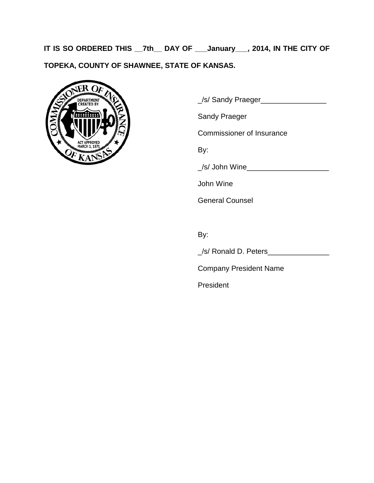**IT IS SO ORDERED THIS \_\_7th\_\_ DAY OF \_\_\_January\_\_\_, 2014, IN THE CITY OF TOPEKA, COUNTY OF SHAWNEE, STATE OF KANSAS.**



\_/s/ Sandy Praeger\_\_\_\_\_\_\_\_\_\_\_\_\_\_\_\_

Sandy Praeger

Commissioner of Insurance

By:

\_/s/ John Wine\_\_\_\_\_\_\_\_\_\_\_\_\_\_\_\_\_\_\_\_

John Wine

General Counsel

By:

\_/s/ Ronald D. Peters\_\_\_\_\_\_\_\_\_\_\_\_\_\_\_

Company President Name

President